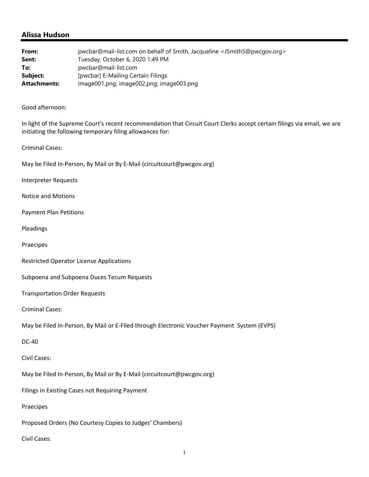## **Alissa Hudson**

| From:               | pwcbar@mail-list.com on behalf of Smith, Jacqueline <jsmith5@pwcqov.org></jsmith5@pwcqov.org> |
|---------------------|-----------------------------------------------------------------------------------------------|
| Sent:               | Tuesday, October 6, 2020 1:49 PM                                                              |
| To:                 | pwcbar@mail-list.com                                                                          |
| Subject:            | [pwcbar] E-Mailing Certain Filings                                                            |
| <b>Attachments:</b> | image001.png; image002.png; image003.png                                                      |

## Good afternoon:

In light of the Supreme Court's recent recommendation that Circuit Court Clerks accept certain filings via email, we are initiating the following temporary filing allowances for:

## Criminal Cases:

May be Filed In‐Person, By Mail or By E‐Mail (circuitcourt@pwcgov.org)

Interpreter Requests

Notice and Motions

Payment Plan Petitions

Pleadings

Praecipes

Restricted Operator License Applications

Subpoena and Subpoena Duces Tecum Requests

Transportation Order Requests

Criminal Cases:

May be Filed In‐Person, By Mail or E‐Filed through Electronic Voucher Payment System (EVPS)

DC‐40

Civil Cases:

May be Filed In‐Person, By Mail or By E‐Mail (circuitcourt@pwcgov.org)

Filings in Existing Cases not Requiring Payment

Praecipes

Proposed Orders (No Courtesy Copies to Judges' Chambers)

Civil Cases: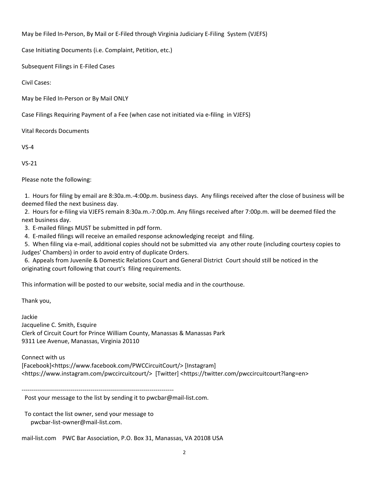May be Filed In‐Person, By Mail or E‐Filed through Virginia Judiciary E‐Filing System (VJEFS)

Case Initiating Documents (i.e. Complaint, Petition, etc.)

Subsequent Filings in E‐Filed Cases

Civil Cases:

May be Filed In‐Person or By Mail ONLY

Case Filings Requiring Payment of a Fee (when case not initiated via e‐filing in VJEFS)

Vital Records Documents

 $VS - 4$ 

VS‐21

Please note the following:

 1. Hours for filing by email are 8:30a.m.‐4:00p.m. business days. Any filings received after the close of business will be deemed filed the next business day.

 2. Hours for e‐filing via VJEFS remain 8:30a.m.‐7:00p.m. Any filings received after 7:00p.m. will be deemed filed the next business day.

3. E-mailed filings MUST be submitted in pdf form.

4. E-mailed filings will receive an emailed response acknowledging receipt and filing.

 5. When filing via e‐mail, additional copies should not be submitted via any other route (including courtesy copies to Judges' Chambers) in order to avoid entry of duplicate Orders.

 6. Appeals from Juvenile & Domestic Relations Court and General District Court should still be noticed in the originating court following that court's filing requirements.

This information will be posted to our website, social media and in the courthouse.

Thank you,

Jackie Jacqueline C. Smith, Esquire Clerk of Circuit Court for Prince William County, Manassas & Manassas Park 9311 Lee Avenue, Manassas, Virginia 20110

Connect with us

[Facebook]<https://www.facebook.com/PWCCircuitCourt/> [Instagram] <https://www.instagram.com/pwccircuitcourt/> [Twitter] <https://twitter.com/pwccircuitcourt?lang=en>

‐‐‐‐‐‐‐‐‐‐‐‐‐‐‐‐‐‐‐‐‐‐‐‐‐‐‐‐‐‐‐‐‐‐‐‐‐‐‐‐‐‐‐‐‐‐‐‐‐‐‐‐‐‐‐‐‐‐‐‐‐‐‐‐‐‐‐‐‐‐‐‐‐‐‐

Post your message to the list by sending it to pwcbar@mail‐list.com.

 To contact the list owner, send your message to pwcbar‐list‐owner@mail‐list.com.

mail-list.com PWC Bar Association, P.O. Box 31, Manassas, VA 20108 USA